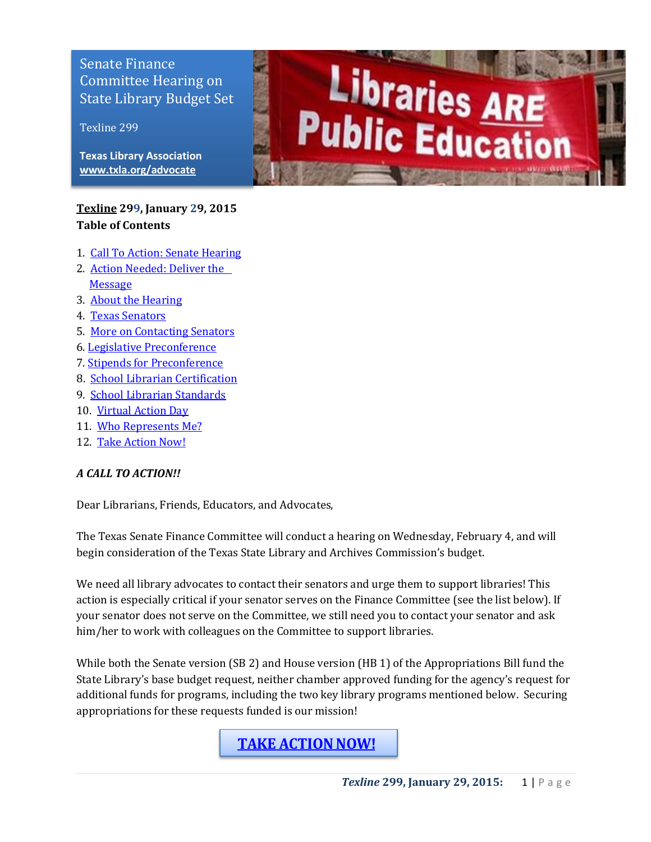Committee Hearing on<br>State Library Pudget Sc buile Horary Budget bee Senate Finance State Library Budget Set

Texline 299

**Texas Library Association [www.txla.org/advocate](http://www.txla.org/advocate)**

## <span id="page-0-0"></span>**[Texline](http://www.txla.org/texline-updates) 299, January 29, 2015 Table of Contents**

- 1. [Call To Action: Senate Hearing](#page-0-0)
- 2. [Action Needed: Deliver the](#page-0-1)  [Message](#page-0-1)
- 3. About the Hearing
- 4. [Texas Senators](#page-2-0)
- 5. [More on Contacting Senators](#page-1-0)
- 6. [Legislative Preconference](#page-3-0)
- 7. [Stipends for Preconference](#page-5-0)
- 8. [School Librarian](#page-3-1) Certification
- 9. [School Librarian Standards](#page-4-0)
- 10. [Virtual Action Day](#page-4-1)
- 11. [Who Represents Me?](#page-3-2)
- 12. [Take Action Now!](#page-0-2)

#### *A CALL TO ACTION!!*

Dear Librarians, Friends, Educators, and Advocates,

The Texas Senate Finance Committee will conduct a hearing on Wednesday, February 4, and will begin consideration of the Texas State Library and Archives Commission's budget.

We need all library advocates to contact their senators and urge them to support libraries! This action is especially critical if your senator serves on the Finance Committee (see the list below). If your senator does not serve on the Committee, we still need you to contact your senator and ask him/her to work with colleagues on the Committee to support libraries.

<span id="page-0-1"></span>While both the Senate version (SB 2) and House version (HB 1) of the Appropriations Bill fund the State Library's base budget request, neither chamber approved funding for the agency's request for additional funds for programs, including the two key library programs mentioned below. Securing appropriations for these requests funded is our mission!

<span id="page-0-2"></span>**[TAKE ACTION NOW!](http://cqrcengage.com/alatx/home)**

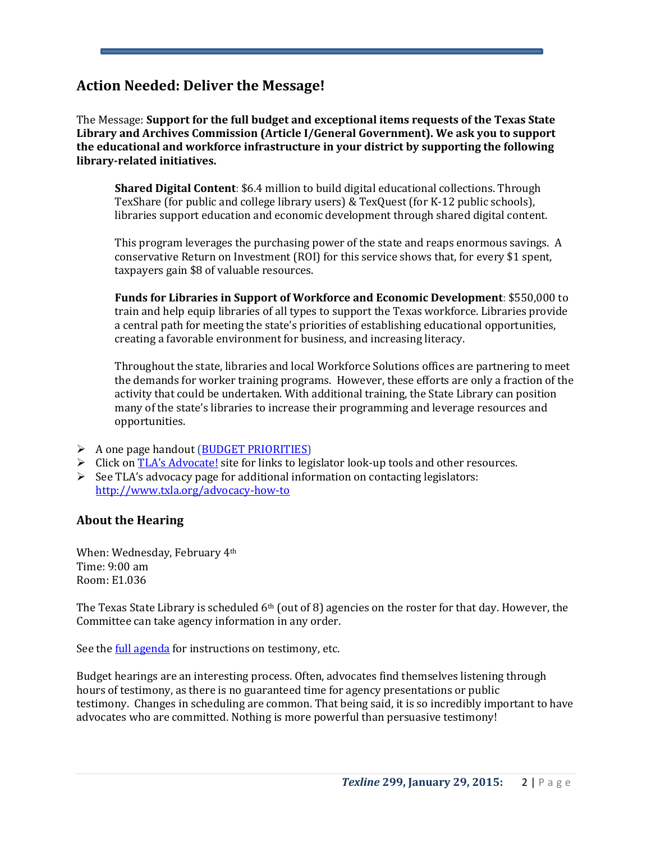# **Action Needed: Deliver the Message!**

The Message: **Support for the full budget and exceptional items requests of the Texas State Library and Archives Commission (Article I/General Government). We ask you to support the educational and workforce infrastructure in your district by supporting the following library-related initiatives.**

**Shared Digital Content**: \$6.4 million to build digital educational collections. Through TexShare (for public and college library users) & TexQuest (for K-12 public schools), libraries support education and economic development through shared digital content.

This program leverages the purchasing power of the state and reaps enormous savings. A conservative Return on Investment (ROI) for this service shows that, for every \$1 spent, taxpayers gain \$8 of valuable resources.

**Funds for Libraries in Support of Workforce and Economic Development**: \$550,000 to train and help equip libraries of all types to support the Texas workforce. Libraries provide a central path for meeting the state's priorities of establishing educational opportunities, creating a favorable environment for business, and increasing literacy.

Throughout the state, libraries and local Workforce Solutions offices are partnering to meet the demands for worker training programs. However, these efforts are only a fraction of the activity that could be undertaken. With additional training, the State Library can position many of the state's libraries to increase their programming and leverage resources and opportunities.

- $\triangleright$  A one page handout [\(BUDGET PRIORITIES\)](http://www.txla.org/sites/tla/files/Advocate/84th_Library_Budget_Issues.pdf)
- S Click on [TLA's Advocate!](http://www.txla.org/take-action) site for links to legislator look-up tools and other resources.
- $\triangleright$  See TLA's advocacy page for additional information on contacting legislators: <http://www.txla.org/advocacy-how-to>

## <span id="page-1-0"></span>**About the Hearing**

When: Wednesday, February 4th Time: 9:00 am Room: E1.036

The Texas State Library is scheduled 6th (out of 8) agencies on the roster for that day. However, the Committee can take agency information in any order.

See the **full agenda** for instructions on testimony, etc.

Budget hearings are an interesting process. Often, advocates find themselves listening through hours of testimony, as there is no guaranteed time for agency presentations or public testimony. Changes in scheduling are common. That being said, it is so incredibly important to have advocates who are committed. Nothing is more powerful than persuasive testimony!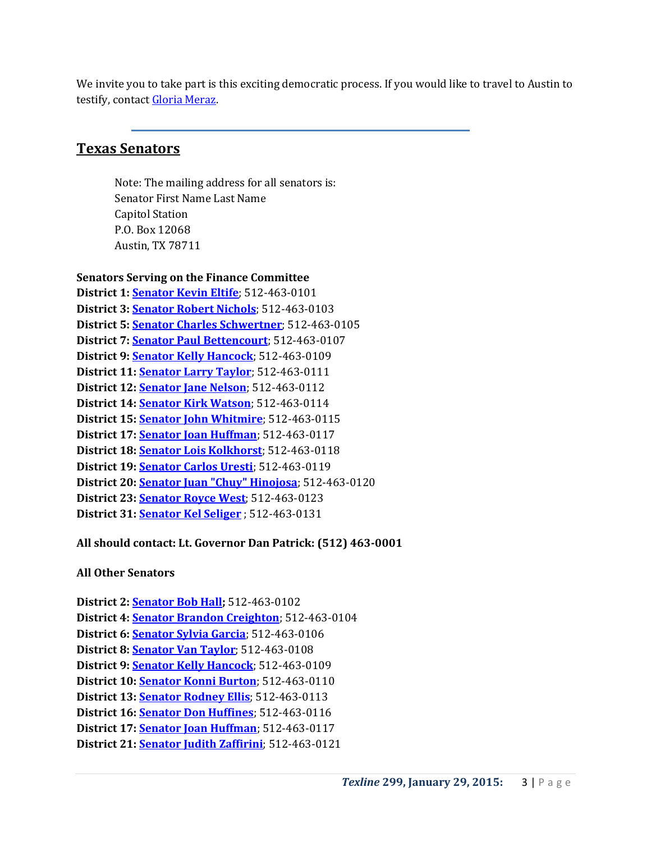We invite you to take part is this exciting democratic process. If you would like to travel to Austin to testify, contact [Gloria Meraz.](mailto:gloriam@txla.org)

# <span id="page-2-0"></span>**Texas Senators**

Note: The mailing address for all senators is: Senator First Name Last Name Capitol Station P.O. Box 12068 Austin, TX 78711

**Senators Serving on the Finance Committee**

**District 1[: Senator Kevin Eltife](mailto:Kevin.Eltife@senate.state.tx.us)**; 512-463-0101 **District 3[: Senator Robert Nichols](mailto:Robert.Nichols@senate.state.tx.us)**; 512-463-0103 **District 5[: Senator Charles](mailto:Charles.Schwertner@senate.state.tx.us) Schwertner**; 512-463-0105 **District 7[: Senator Paul Bettencourt](mailto:Paul.Bettencourt@senate.state.tx.us)**; 512-463-0107 **District 9[: Senator Kelly Hancock](mailto:Kelly.Hancock@senate.state.tx.us)**; 512-463-0109 **District 11: [Senator Larry Taylor](mailto:Larry.Taylor@senate.state.tx.us)**; 512-463-0111 **District 12: [Senator Jane Nelson](mailto:Jane.Nelson@senate.state.tx.us)**; 512-463-0112 **District 14: [Senator Kirk](mailto:Kirk.Watson@senate.state.tx.us) Watson**; 512-463-0114 **District 15: [Senator John Whitmire](mailto:John.Whitmire@senate.state.tx.us)**; 512-463-0115 **District 17: [Senator Joan Huffman](mailto:Joan.Huffman@senate.state.tx.us)**; 512-463-0117 **District 18: [Senator Lois Kolkhorst](mailto:Lois.Kolkhorst@senate.state.tx.us)**; 512-463-0118 **District 19: [Senator Carlos Uresti](mailto:Carlos.Uresti@senate.state.tx.us)**; 512-463-0119 **District 20: [Senator Juan "Chuy" Hinojosa](mailto:Juan.Hinojosa@senate.state.tx.us)**; 512-463-0120 **District 23: [Senator Royce West](mailto:Royce.West@senate.state.tx.us)**; 512-463-0123 **District 31: [Senator Kel Seliger](mailto:Kel.Seliger@senate.state.tx.us);)** ; 512-463-0131

## **All should contact: Lt. Governor Dan Patrick: (512) 463-0001**

#### **All Other Senators**

**District 2: [Senator Bob Hall;](mailto:Bob.Hall@senate.state.tx.us)** 512-463-0102 **District 4[: Senator Brandon Creighton](mailto:Brandon.Creighton@senate.state.tx.us)**; 512-463-0104 **District 6: [Senator Sylvia Garcia](mailto:Sylvia.Garcia@senate.state.tx.us)**; 512-463-0106 **District 8[: Senator Van Taylor](mailto:Van.Taylor@senate.state.tx.us)**; 512-463-0108 **District 9: [Senator Kelly Hancock](mailto:Kelly.Hancock@senate.state.tx.us)**; 512-463-0109 **District 10: [Senator Konni Burton](mailto:Konni.Burton@senate.state.tx.us)**; 512-463-0110 **District 13: [Senator Rodney Ellis](mailto:Rodney.Ellis@senate.state.tx.us)**; 512-463-0113 **District 16: [Senator Don Huffines](mailto:Don.Huffines@senate.state.tx.us)**; 512-463-0116 **District 17: [Senator Joan Huffman](mailto:Joan.Huffman@senate.state.tx.us)**; 512-463-0117 **District 21: [Senator Judith Zaffirini](mailto:Judith.Zaffirini@senate.state.tx.us)**; 512-463-0121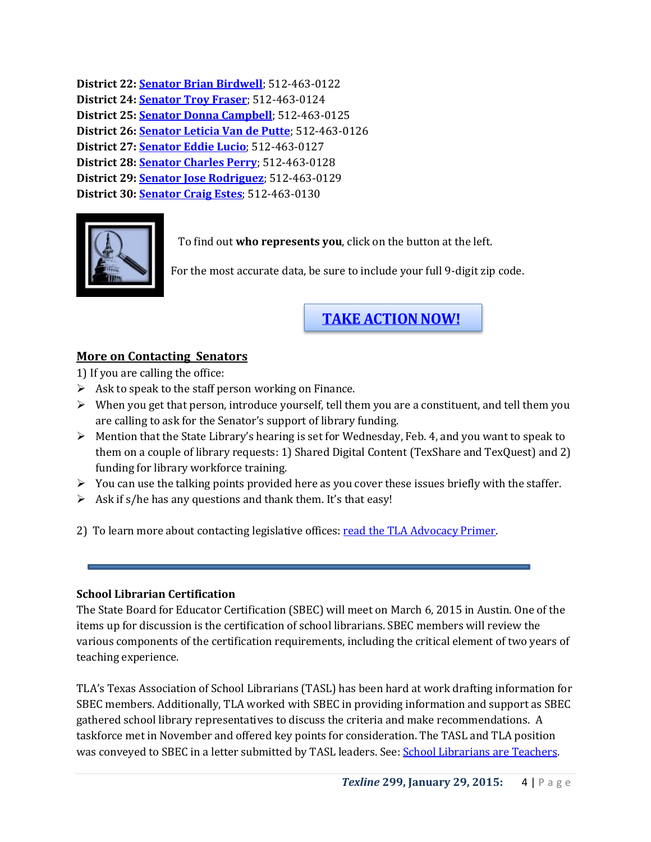```
District 22: Senator Brian Birdwell; 512-463-0122 
District 24: Senator Troy Fraser; 512-463-0124 
District 25: Senator Donna Campbell; 512-463-0125 
District 26: Senator Leticia Van de Putte; 512-463-0126 
District 27: Senator Eddie Lucio; 512-463-0127 
District 28: Senator Charles Perry; 512-463-0128 
District 29: Senator Jose Rodriguez; 512-463-0129 
District 30: Senator Craig Estes; 512-463-0130
```


<span id="page-3-2"></span>To find out **who represents you**, click on the button at the left.

For the most accurate data, be sure to include your full 9-digit zip code.

# **[TAKE ACTION NOW!](http://cqrcengage.com/alatx/home)**

# <span id="page-3-0"></span>**More on Contacting Senators**

1) If you are calling the office:

- $\triangleright$  Ask to speak to the staff person working on Finance.
- $\triangleright$  When you get that person, introduce yourself, tell them you are a constituent, and tell them you are calling to ask for the Senator's support of library funding.
- $\triangleright$  Mention that the State Library's hearing is set for Wednesday, Feb. 4, and you want to speak to them on a couple of library requests: 1) Shared Digital Content (TexShare and TexQuest) and 2) funding for library workforce training.
- $\triangleright$  You can use the talking points provided here as you cover these issues briefly with the staffer.
- $\triangleright$  Ask if s/he has any questions and thank them. It's that easy!
- 2) To learn more about contacting legislative offices: read the TLA Advocacy Primer.

## <span id="page-3-1"></span>**School Librarian Certification**

The State Board for Educator Certification (SBEC) will meet on March 6, 2015 in Austin. One of the items up for discussion is the certification of school librarians. SBEC members will review the various components of the certification requirements, including the critical element of two years of teaching experience.

TLA's Texas Association of School Librarians (TASL) has been hard at work drafting information for SBEC members. Additionally, TLA worked with SBEC in providing information and support as SBEC gathered school library representatives to discuss the criteria and make recommendations. A taskforce met in November and offered key points for consideration. The TASL and TLA position was conveyed to SBEC in a letter submitted by TASL leaders. See: [School Librarians are Teachers.](http://www.txla.org/sites/tla/files/Advocate/TASL%20SBECletter%201-8-15.pdf)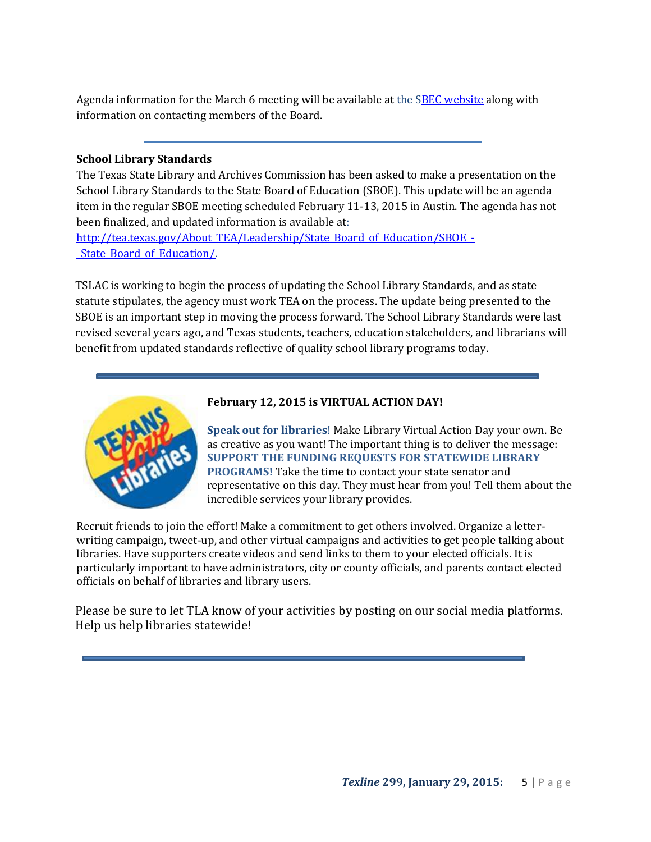Agenda information for the March 6 meeting will be available at the [SBEC website](http://tea.texas.gov/About_TEA/Leadership/State_Board_for_Educator_Certification/SBEC_Meetings/State_Board_for_Educator_Certification_Meetings/) along with information on contacting members of the Board.

### <span id="page-4-0"></span>**School Library Standards**

The Texas State Library and Archives Commission has been asked to make a presentation on the School Library Standards to the State Board of Education (SBOE). This update will be an agenda item in the regular SBOE meeting scheduled February 11-13, 2015 in Austin. The agenda has not been finalized, and updated information is available at:

[http://tea.texas.gov/About\\_TEA/Leadership/State\\_Board\\_of\\_Education/SBOE\\_-](http://tea.texas.gov/About_TEA/Leadership/State_Board_of_Education/SBOE_-_State_Board_of_Education/) [\\_State\\_Board\\_of\\_Education/.](http://tea.texas.gov/About_TEA/Leadership/State_Board_of_Education/SBOE_-_State_Board_of_Education/)

TSLAC is working to begin the process of updating the School Library Standards, and as state statute stipulates, the agency must work TEA on the process. The update being presented to the SBOE is an important step in moving the process forward. The School Library Standards were last revised several years ago, and Texas students, teachers, education stakeholders, and librarians will benefit from updated standards reflective of quality school library programs today.



#### <span id="page-4-1"></span>**February 12, 2015 is VIRTUAL ACTION DAY!**

**Speak out for libraries**! Make Library Virtual Action Day your own. Be as creative as you want! The important thing is to deliver the message: **SUPPORT THE FUNDING REQUESTS FOR STATEWIDE LIBRARY PROGRAMS!** Take the time to contact your state senator and representative on this day. They must hear from you! Tell them about the incredible services your library provides.

Recruit friends to join the effort! Make a commitment to get others involved. Organize a letterwriting campaign, tweet-up, and other virtual campaigns and activities to get people talking about libraries. Have supporters create videos and send links to them to your elected officials. It is particularly important to have administrators, city or county officials, and parents contact elected officials on behalf of libraries and library users.

Please be sure to let TLA know of your activities by posting on our social media platforms. Help us help libraries statewide!